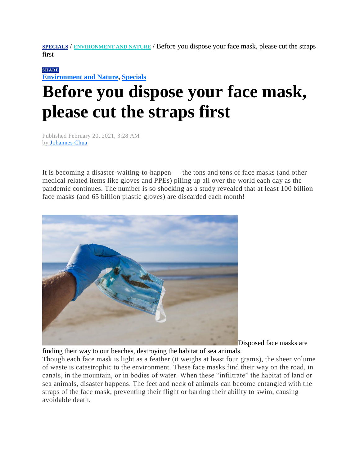**[SPECIALS](https://mb.com.ph/category/specials/)** / **[ENVIRONMENT AND](https://mb.com.ph/category/specials/environment-and-nature/) NATURE** / Before you dispose your face mask, please cut the straps first

## **[SHARE](https://www.addtoany.com/share#url=https%3A%2F%2Fmb.com.ph%2F2021%2F02%2F20%2Fbefore-you-dispose-your-face-mask-please-cut-the-straps-first%2F&title=Before%20you%20dispose%20your%20face%20mask%2C%20please%20cut%20the%20straps%20first)**

**[Environment and Nature,](https://mb.com.ph/category/specials/environment-and-nature/) [Specials](https://mb.com.ph/category/specials/)**

## **Before you dispose your face mask, please cut the straps first**

Published February 20, 2021, 3:28 AM by [Johannes Chua](https://mb.com.ph/author/joechua)

It is becoming a disaster-waiting-to-happen — the tons and tons of face masks (and other medical related items like gloves and PPEs) piling up all over the world each day as the pandemic continues. The number is so shocking as a study revealed that at least 100 billion face masks (and 65 billion plastic gloves) are discarded each month!



Disposed face masks are

finding their way to our beaches, destroying the habitat of sea animals.

Though each face mask is light as a feather (it weighs at least four grams), the sheer volume of waste is catastrophic to the environment. These face masks find their way on the road, in canals, in the mountain, or in bodies of water. When these "infiltrate" the habitat of land or sea animals, disaster happens. The feet and neck of animals can become entangled with the straps of the face mask, preventing their flight or barring their ability to swim, causing avoidable death.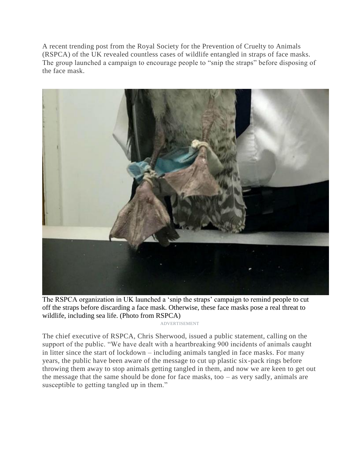A recent trending post from the Royal Society for the Prevention of Cruelty to Animals (RSPCA) of the UK revealed countless cases of wildlife entangled in straps of face masks. The group launched a campaign to encourage people to "snip the straps" before disposing of the face mask.



The RSPCA organization in UK launched a 'snip the straps' campaign to remind people to cut off the straps before discarding a face mask. Otherwise, these face masks pose a real threat to wildlife, including sea life. (Photo from RSPCA)

ADVERTISEMENT

The chief executive of RSPCA, Chris Sherwood, issued a public statement, calling on the support of the public. "We have dealt with a heartbreaking 900 incidents of animals caught in litter since the start of lockdown – including animals tangled in face masks. For many years, the public have been aware of the message to cut up plastic six-pack rings before throwing them away to stop animals getting tangled in them, and now we are keen to get out the message that the same should be done for face masks, too – as very sadly, animals are susceptible to getting tangled up in them."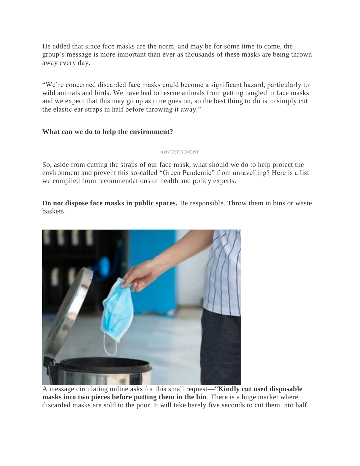He added that since face masks are the norm, and may be for some time to come, the group's message is more important than ever as thousands of these masks are being thrown away every day.

―We're concerned discarded face masks could become a significant hazard, particularly to wild animals and birds. We have had to rescue animals from getting tangled in face masks and we expect that this may go up as time goes on, so the best thing to do is to simply cut the elastic ear straps in half before throwing it away."

## **What can we do to help the environment?**

ADVERTISEMENT

So, aside from cutting the straps of our face mask, what should we do to help protect the environment and prevent this so-called "Green Pandemic" from unravelling? Here is a list we compiled from recommendations of health and policy experts.

**Do not dispose face masks in public spaces.** Be responsible. Throw them in bins or waste baskets.



A message circulating online asks for this small request—"**Kindly cut used disposable masks into two pieces before putting them in the bin**. There is a huge market where discarded masks are sold to the poor. It will take barely five seconds to cut them into half.